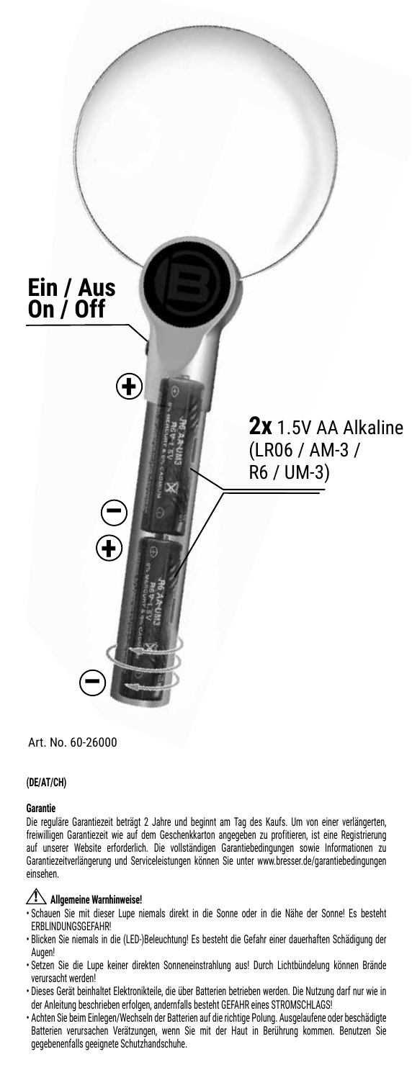

# Art. No. 60-26000

### **(DE/AT/CH)**

### **Garantie**

Die reguläre Garantiezeit beträgt 2 Jahre und beginnt am Tag des Kaufs. Um von einer verlängerten, freiwilligen Garantiezeit wie auf dem Geschenkkarton angegeben zu profitieren, ist eine Registrierung auf unserer Website erforderlich. Die vollständigen Garantiebedingungen sowie Informationen zu Garantiezeitverlängerung und Serviceleistungen können Sie unter www.bresser.de/garantiebedingungen einsehen.

### **Allgemeine Warnhinweise!**

- Schauen Sie mit dieser Lupe niemals direkt in die Sonne oder in die Nähe der Sonne! Es besteht ERBLINDUNGSGEFAHR!
- Blicken Sie niemals in die (LED-)Beleuchtung! Es besteht die Gefahr einer dauerhaften Schädigung der Augen!
- Setzen Sie die Lupe keiner direkten Sonneneinstrahlung aus! Durch Lichtbündelung können Brände verursacht werden!
- Dieses Gerät beinhaltet Elektronikteile, die über Batterien betrieben werden. Die Nutzung darf nur wie in der Anleitung beschrieben erfolgen, andernfalls besteht GEFAHR eines STROMSCHLAGS!
- Achten Sie beim Einlegen/Wechseln der Batterien auf die richtige Polung. Ausgelaufene oder beschädigte Batterien verursachen Verätzungen, wenn Sie mit der Haut in Berührung kommen. Benutzen Sie gegebenenfalls geeignete Schutzhandschuhe.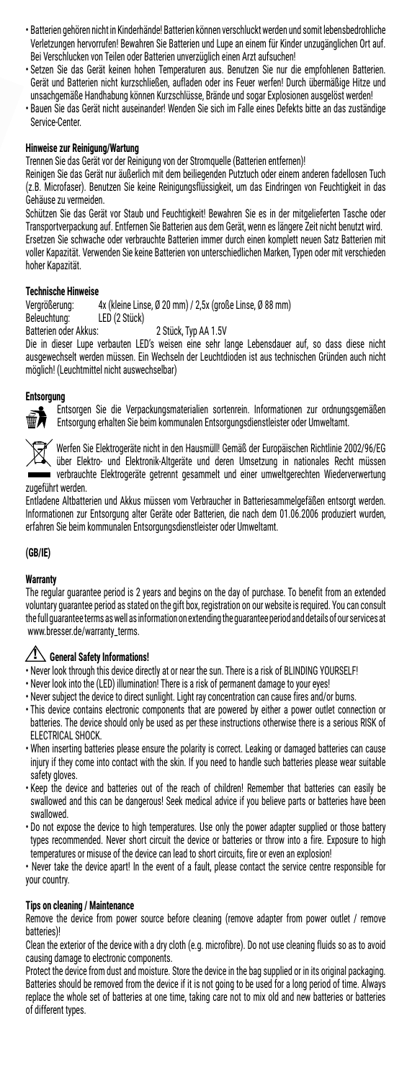- Batterien gehören nicht in Kinderhände! Batterien können verschluckt werden und somit lebensbedrohliche Verletzungen hervorrufen! Bewahren Sie Batterien und Lupe an einem für Kinder unzugänglichen Ort auf. Bei Verschlucken von Teilen oder Batterien unverzüglich einen Arzt aufsuchen!
- Setzen Sie das Gerät keinen hohen Temperaturen aus. Benutzen Sie nur die empfohlenen Batterien. Gerät und Batterien nicht kurzschließen, aufladen oder ins Feuer werfen! Durch übermäßige Hitze und unsachgemäße Handhabung können Kurzschlüsse, Brände und sogar Explosionen ausgelöst werden!
- Bauen Sie das Gerät nicht auseinander! Wenden Sie sich im Falle eines Defekts bitte an das zuständige Service-Center.

# **Hinweise zur Reinigung/Wartung**

Trennen Sie das Gerät vor der Reinigung von der Stromquelle (Batterien entfernen)!

Reinigen Sie das Gerät nur äußerlich mit dem beiliegenden Putztuch oder einem anderen fadellosen Tuch (z.B. Microfaser). Benutzen Sie keine Reinigungsflüssigkeit, um das Eindringen von Feuchtigkeit in das Gehäuse zu vermeiden.

Schützen Sie das Gerät vor Staub und Feuchtigkeit! Bewahren Sie es in der mitgelieferten Tasche oder Transportverpackung auf. Entfernen Sie Batterien aus dem Gerät, wenn es längere Zeit nicht benutzt wird. Ersetzen Sie schwache oder verbrauchte Batterien immer durch einen komplett neuen Satz Batterien mit voller Kapazität. Verwenden Sie keine Batterien von unterschiedlichen Marken, Typen oder mit verschieden hoher Kapazität.

# **Technische Hinweise**

Vergrößerung: 4x (kleine Linse, Ø 20 mm) / 2,5x (große Linse, Ø 88 mm) Beleuchtung: LED (2 Stück)<br>Batterien oder Akkus:

2 Stück. Tvp AA 1.5V

Die in dieser Lupe verbauten LED's weisen eine sehr lange Lebensdauer auf, so dass diese nicht ausgewechselt werden müssen. Ein Wechseln der Leuchtdioden ist aus technischen Gründen auch nicht möglich! (Leuchtmittel nicht auswechselbar)

### **Entsorgung**



Entsorgen Sie die Verpackungsmaterialien sortenrein. Informationen zur ordnungsgemäßen Entsorgung erhalten Sie beim kommunalen Entsorgungsdienstleister oder Umweltamt.



Werfen Sie Elektrogeräte nicht in den Hausmüll! Gemäß der Europäischen Richtlinie 2002/96/EG über Elektro- und Elektronik-Altgeräte und deren Umsetzung in nationales Recht müssen verbrauchte Elektrogeräte getrennt gesammelt und einer umweltgerechten Wiederverwertung zugeführt werden.

Entladene Altbatterien und Akkus müssen vom Verbraucher in Batteriesammelgefäßen entsorgt werden. Informationen zur Entsorgung alter Geräte oder Batterien, die nach dem 01.06.2006 produziert wurden, erfahren Sie beim kommunalen Entsorgungsdienstleister oder Umweltamt.

### **(GB/IE)**

### **Warranty**

The regular guarantee period is 2 years and begins on the day of purchase. To benefit from an extended voluntary guarantee period as stated on the gift box, registration on our website is required. You can consult the full guarantee terms as well as information on extending the guarantee period and details of our services at www.bresser.de/warranty\_terms.

# **General Safety Informations!**

- Never look through this device directly at or near the sun. There is a risk of BLINDING YOURSELF!
- Never look into the (LED) illumination! There is a risk of permanent damage to your eyes!
- Never subject the device to direct sunlight. Light ray concentration can cause fires and/or burns.
- This device contains electronic components that are powered by either a power outlet connection or batteries. The device should only be used as per these instructions otherwise there is a serious RISK of ELECTRICAL SHOCK.
- When inserting batteries please ensure the polarity is correct. Leaking or damaged batteries can cause injury if they come into contact with the skin. If you need to handle such batteries please wear suitable safety gloves.
- Keep the device and batteries out of the reach of children! Remember that batteries can easily be swallowed and this can be dangerous! Seek medical advice if you believe parts or batteries have been swallowed.
- Do not expose the device to high temperatures. Use only the power adapter supplied or those battery types recommended. Never short circuit the device or batteries or throw into a fire. Exposure to high temperatures or misuse of the device can lead to short circuits, fire or even an explosion!

• Never take the device apart! In the event of a fault, please contact the service centre responsible for your country.

### **Tips on cleaning / Maintenance**

Remove the device from power source before cleaning (remove adapter from power outlet / remove batteries)!

Clean the exterior of the device with a dry cloth (e.g. microfibre). Do not use cleaning fluids so as to avoid causing damage to electronic components.

Protect the device from dust and moisture. Store the device in the bag supplied or in its original packaging. Batteries should be removed from the device if it is not going to be used for a long period of time. Always replace the whole set of batteries at one time, taking care not to mix old and new batteries or batteries of different types.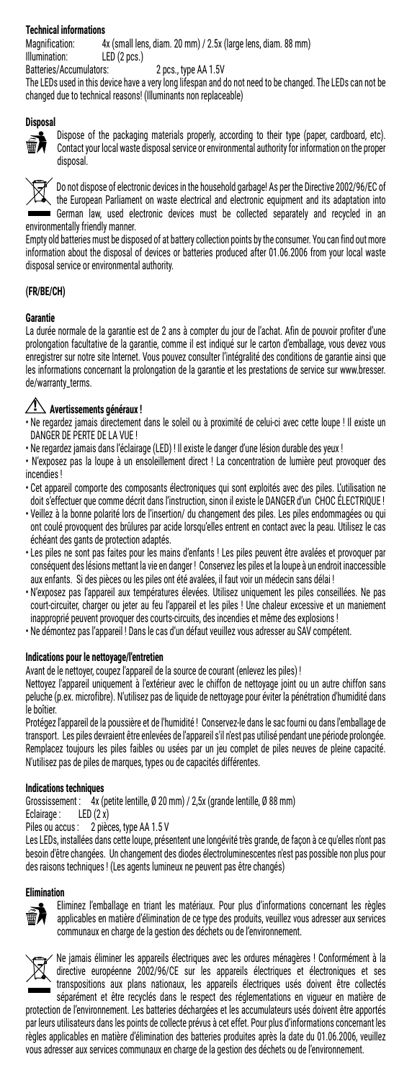# **Technical informations**

Magnification: 4x (small lens, diam. 20 mm) / 2.5x (large lens, diam. 88 mm) Illumination: LED (2 pcs.)<br>Batteries/Accumulators:

2 pcs., type AA 1.5V

The LEDs used in this device have a very long lifespan and do not need to be changed. The LEDs can not be changed due to technical reasons! (Illuminants non replaceable)

#### **Disposal**



Dispose of the packaging materials properly, according to their type (paper, cardboard, etc). Contact your local waste disposal service or environmental authority for information on the proper disposal.



Do not dispose of electronic devices in the household garbage! As per the Directive 2002/96/EC of the European Parliament on waste electrical and electronic equipment and its adaptation into German law, used electronic devices must be collected separately and recycled in an environmentally friendly manner.

Empty old batteries must be disposed of at battery collection points by the consumer. You can find out more information about the disposal of devices or batteries produced after 01.06.2006 from your local waste disposal service or environmental authority.

### **(FR/BE/CH)**

### **Garantie**

La durée normale de la garantie est de 2 ans à compter du jour de l'achat. Afin de pouvoir profiter d'une prolongation facultative de la garantie, comme il est indiqué sur le carton d'emballage, vous devez vous enregistrer sur notre site Internet. Vous pouvez consulter l'intégralité des conditions de garantie ainsi que les informations concernant la prolongation de la garantie et les prestations de service sur www.bresser. de/warranty\_terms.

# **Avertissements généraux !**

- Ne regardez jamais directement dans le soleil ou à proximité de celui-ci avec cette loupe ! Il existe un DANGER DE PERTE DE LA VUE !
- Ne regardez jamais dans l'éclairage (LED) ! Il existe le danger d'une lésion durable des yeux !
- N'exposez pas la loupe à un ensoleillement direct ! La concentration de lumière peut provoquer des incendies !
- Cet appareil comporte des composants électroniques qui sont exploités avec des piles. L'utilisation ne doit s'effectuer que comme décrit dans l'instruction, sinon il existe le DANGER d'un CHOC ÉLECTRIQUE !
- Veillez à la bonne polarité lors de l'insertion/ du changement des piles. Les piles endommagées ou qui ont coulé provoquent des brûlures par acide lorsqu'elles entrent en contact avec la peau. Utilisez le cas échéant des gants de protection adaptés.
- Les piles ne sont pas faites pour les mains d'enfants ! Les piles peuvent être avalées et provoquer par conséquent des lésions mettant la vie en danger ! Conservez les piles et la loupe à un endroit inaccessible aux enfants. Si des pièces ou les piles ont été avalées, il faut voir un médecin sans délai !
- N'exposez pas l'appareil aux températures élevées. Utilisez uniquement les piles conseillées. Ne pas court-circuiter, charger ou jeter au feu l'appareil et les piles ! Une chaleur excessive et un maniement inapproprié peuvent provoquer des courts-circuits, des incendies et même des explosions !
- Ne démontez pas l'appareil ! Dans le cas d'un défaut veuillez vous adresser au SAV compétent.

### **Indications pour le nettoyage/l'entretien**

Avant de le nettoyer, coupez l'appareil de la source de courant (enlevez les piles) !

Nettoyez l'appareil uniquement à l'extérieur avec le chiffon de nettoyage joint ou un autre chiffon sans peluche (p.ex. microfibre). N'utilisez pas de liquide de nettoyage pour éviter la pénétration d'humidité dans le boîtier.

Protégez l'appareil de la poussière et de l'humidité ! Conservez-le dans le sac fourni ou dans l'emballage de transport. Les piles devraient être enlevées de l'appareil s'il n'est pas utilisé pendant une période prolongée. Remplacez toujours les piles faibles ou usées par un jeu complet de piles neuves de pleine capacité. N'utilisez pas de piles de marques, types ou de capacités différentes.

### **Indications techniques**

Grossissement :  $4x$  (petite lentille, Ø 20 mm) / 2,5x (grande lentille, Ø 88 mm)<br>Eclairage : LED (2 x)

Eclairage :

Piles ou accus : 2 pièces, type AA 1.5 V

Les LEDs, installées dans cette loupe, présentent une longévité très grande, de façon à ce qu'elles n'ont pas besoin d'être changées. Un changement des diodes électroluminescentes n'est pas possible non plus pour des raisons techniques ! (Les agents lumineux ne peuvent pas être changés)

### **Elimination**



Eliminez l'emballage en triant les matériaux. Pour plus d'informations concernant les règles applicables en matière d'élimination de ce type des produits, veuillez vous adresser aux services communaux en charge de la gestion des déchets ou de l'environnement.



Ne jamais éliminer les appareils électriques avec les ordures ménagères ! Conformément à la directive européenne 2002/96/CE sur les appareils électriques et électroniques et ses transpositions aux plans nationaux, les appareils électriques usés doivent être collectés séparément et être recyclés dans le respect des réglementations en vigueur en matière de

protection de l'environnement. Les batteries déchargées et les accumulateurs usés doivent être apportés par leurs utilisateurs dans les points de collecte prévus à cet effet. Pour plus d'informations concernant les règles applicables en matière d'élimination des batteries produites après la date du 01.06.2006, veuillez vous adresser aux services communaux en charge de la gestion des déchets ou de l'environnement.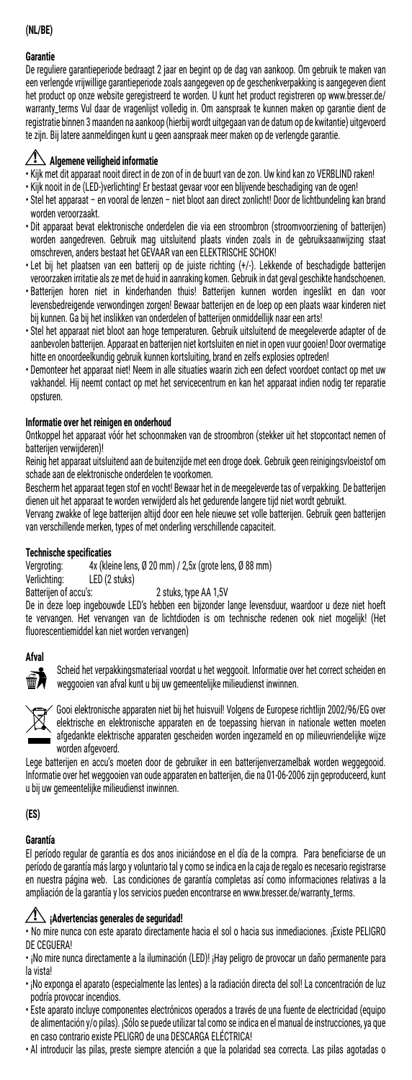# **(NL/BE)**

### **Garantie**

De reguliere garantieperiode bedraagt 2 jaar en begint op de dag van aankoop. Om gebruik te maken van een verlengde vrijwillige garantieperiode zoals aangegeven op de geschenkverpakking is aangegeven dient het product op onze website geregistreerd te worden. U kunt het product registreren op www.bresser.de/ warranty\_terms Vul daar de vragenlijst volledig in. Om aanspraak te kunnen maken op garantie dient de registratie binnen 3 maanden na aankoop (hierbij wordt uitgegaan van de datum op de kwitantie) uitgevoerd te zijn. Bij latere aanmeldingen kunt u geen aanspraak meer maken op de verlengde garantie.

## **Algemene veiligheid informatie**

- Kijk met dit apparaat nooit direct in de zon of in de buurt van de zon. Uw kind kan zo VERBLIND raken!
- Kijk nooit in de (LED-)verlichting! Er bestaat gevaar voor een blijvende beschadiging van de ogen!
- Stel het apparaat en vooral de lenzen niet bloot aan direct zonlicht! Door de lichtbundeling kan brand worden veroorzaakt.
- Dit apparaat bevat elektronische onderdelen die via een stroombron (stroomvoorziening of batterijen) worden aangedreven. Gebruik mag uitsluitend plaats vinden zoals in de gebruiksaanwijzing staat omschreven, anders bestaat het GEVAAR van een ELEKTRISCHE SCHOK!
- Let bij het plaatsen van een batterij op de juiste richting (+/-). Lekkende of beschadigde batterijen veroorzaken irritatie als ze met de huid in aanraking komen. Gebruik in dat geval geschikte handschoenen.
- Batterijen horen niet in kinderhanden thuis! Batterijen kunnen worden ingeslikt en dan voor levensbedreigende verwondingen zorgen! Bewaar batterijen en de loep op een plaats waar kinderen niet bij kunnen. Ga bij het inslikken van onderdelen of batterijen onmiddellijk naar een arts!
- Stel het apparaat niet bloot aan hoge temperaturen. Gebruik uitsluitend de meegeleverde adapter of de aanbevolen batterijen. Apparaat en batterijen niet kortsluiten en niet in open vuur gooien! Door overmatige hitte en onoordeelkundig gebruik kunnen kortsluiting, brand en zelfs explosies optreden!
- Demonteer het apparaat niet! Neem in alle situaties waarin zich een defect voordoet contact op met uw vakhandel. Hij neemt contact op met het servicecentrum en kan het apparaat indien nodig ter reparatie opsturen.

### **Informatie over het reinigen en onderhoud**

Ontkoppel het apparaat vóór het schoonmaken van de stroombron (stekker uit het stopcontact nemen of batterijen verwijderen)!

Reinig het apparaat uitsluitend aan de buitenzijde met een droge doek. Gebruik geen reinigingsvloeistof om schade aan de elektronische onderdelen te voorkomen.

Bescherm het apparaat tegen stof en vocht! Bewaar het in de meegeleverde tas of verpakking. De batterijen dienen uit het apparaat te worden verwijderd als het gedurende langere tijd niet wordt gebruikt.

Vervang zwakke of lege batterijen altijd door een hele nieuwe set volle batterijen. Gebruik geen batterijen van verschillende merken, types of met onderling verschillende capaciteit.

# **Technische specificaties**<br>Vergroting: 4x (kle

Vergroting:  $4x$  (kleine lens, Ø 20 mm) / 2,5x (grote lens, Ø 88 mm)<br>Verlichting: LED (2 stuks)

Verlichting: LED (2 stuks) 2 stuks, type AA 1,5V

De in deze loep ingebouwde LED's hebben een bijzonder lange levensduur, waardoor u deze niet hoeft te vervangen. Het vervangen van de lichtdioden is om technische redenen ook niet mogelijk! (Het fluorescentiemiddel kan niet worden vervangen)

### **Afval**



Scheid het verpakkingsmateriaal voordat u het weggooit. Informatie over het correct scheiden en weggooien van afval kunt u bij uw gemeentelijke milieudienst inwinnen.



Gooi elektronische apparaten niet bij het huisvuil! Volgens de Europese richtlijn 2002/96/EG over elektrische en elektronische apparaten en de toepassing hiervan in nationale wetten moeten afgedankte elektrische apparaten gescheiden worden ingezameld en op milieuvriendelijke wijze worden afgevoerd.

Lege batterijen en accu's moeten door de gebruiker in een batterijenverzamelbak worden weggegooid. Informatie over het weggooien van oude apparaten en batterijen, die na 01-06-2006 zijn geproduceerd, kunt u bij uw gemeentelijke milieudienst inwinnen.

**(ES)** 

### **Garantía**

El período regular de garantía es dos anos iniciándose en el día de la compra. Para beneficiarse de un período de garantía más largo y voluntario tal y como se indica en la caja de regalo es necesario registrarse en nuestra página web. Las condiciones de garantía completas así como informaciones relativas a la ampliación de la garantía y los servicios pueden encontrarse en www.bresser.de/warranty\_terms.

# **¡Advertencias generales de seguridad!**

• No mire nunca con este aparato directamente hacia el sol o hacia sus inmediaciones. ¡Existe PELIGRO DE CEGUERA!

- ¡No mire nunca directamente a la iluminación (LED)! ¡Hay peligro de provocar un daño permanente para la vista!
- ¡No exponga el aparato (especialmente las lentes) a la radiación directa del sol! La concentración de luz podría provocar incendios.
- Este aparato incluye componentes electrónicos operados a través de una fuente de electricidad (equipo de alimentación y/o pilas). ¡Sólo se puede utilizar tal como se indica en el manual de instrucciones, ya que en caso contrario existe PELIGRO de una DESCARGA ELÉCTRICA!
- Al introducir las pilas, preste siempre atención a que la polaridad sea correcta. Las pilas agotadas o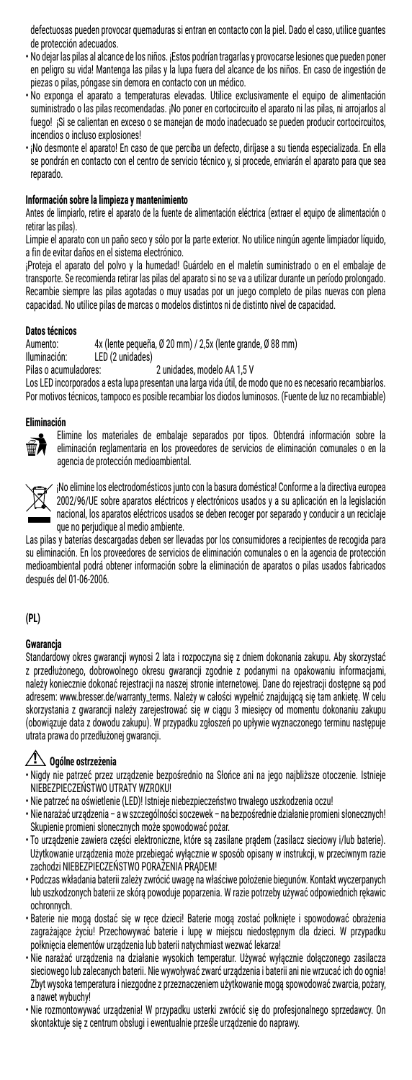defectuosas pueden provocar quemaduras si entran en contacto con la piel. Dado el caso, utilice guantes de protección adecuados.

- No dejar las pilas al alcance de los niños. ¡Estos podrían tragarlas y provocarse lesiones que pueden poner en peligro su vida! Mantenga las pilas y la lupa fuera del alcance de los niños. En caso de ingestión de piezas o pilas, póngase sin demora en contacto con un médico.
- No exponga el aparato a temperaturas elevadas. Utilice exclusivamente el equipo de alimentación suministrado o las pilas recomendadas. ¡No poner en cortocircuito el aparato ni las pilas, ni arrojarlos al fuego! ¡Si se calientan en exceso o se manejan de modo inadecuado se pueden producir cortocircuitos, incendios o incluso explosiones!
- ¡No desmonte el aparato! En caso de que perciba un defecto, diríjase a su tienda especializada. En ella se pondrán en contacto con el centro de servicio técnico y, si procede, enviarán el aparato para que sea reparado.

### **Información sobre la limpieza y mantenimiento**

Antes de limpiarlo, retire el aparato de la fuente de alimentación eléctrica (extraer el equipo de alimentación o retirar las pilas).

Limpie el aparato con un paño seco y sólo por la parte exterior. No utilice ningún agente limpiador líquido, a fin de evitar daños en el sistema electrónico.

¡Proteja el aparato del polvo y la humedad! Guárdelo en el maletín suministrado o en el embalaje de transporte. Se recomienda retirar las pilas del aparato si no se va a utilizar durante un período prolongado. Recambie siempre las pilas agotadas o muy usadas por un juego completo de pilas nuevas con plena capacidad. No utilice pilas de marcas o modelos distintos ni de distinto nivel de capacidad.

# **Datos técnicos**

Aumento: 4x (lente pequeña, Ø 20 mm) / 2,5x (lente grande, Ø 88 mm) Iluminación: LED (2 unidades)<br>Pilas o acumuladores: 2 unidades, modelo AA 1,5 V

Los LED incorporados a esta lupa presentan una larga vida útil, de modo que no es necesario recambiarlos. Por motivos técnicos, tampoco es posible recambiar los diodos luminosos. (Fuente de luz no recambiable)

#### **Eliminación**



Elimine los materiales de embalaje separados por tipos. Obtendrá información sobre la eliminación reglamentaria en los proveedores de servicios de eliminación comunales o en la agencia de protección medioambiental.



¡No elimine los electrodomésticos junto con la basura doméstica! Conforme a la directiva europea 2002/96/UE sobre aparatos eléctricos y electrónicos usados y a su aplicación en la legislación nacional, los aparatos eléctricos usados se deben recoger por separado y conducir a un reciclaje que no perjudique al medio ambiente.

Las pilas y baterías descargadas deben ser llevadas por los consumidores a recipientes de recogida para su eliminación. En los proveedores de servicios de eliminación comunales o en la agencia de protección medioambiental podrá obtener información sobre la eliminación de aparatos o pilas usados fabricados después del 01-06-2006.

### **(PL)**

#### **Gwarancja**

Standardowy okres gwarancji wynosi 2 lata i rozpoczyna się z dniem dokonania zakupu. Aby skorzystać z przedłużonego, dobrowolnego okresu gwarancji zgodnie z podanymi na opakowaniu informacjami, należy koniecznie dokonać rejestracji na naszej stronie internetowej. Dane do rejestracji dostępne są pod adresem: www.bresser.de/warranty\_terms. Należy w całości wypełnić znajdującą się tam ankietę. W celu skorzystania z gwarancji należy zarejestrować się w ciągu 3 miesięcy od momentu dokonaniu zakupu (obowiązuje data z dowodu zakupu). W przypadku zgłoszeń po upływie wyznaczonego terminu następuje utrata prawa do przedłużonej gwarancji.

# **Ogólne ostrzeżenia**

- Nigdy nie patrzeć przez urządzenie bezpośrednio na Słońce ani na jego najbliższe otoczenie. Istnieje NIEBEZPIECZEŃSTWO UTRATY WZROKU!
- Nie patrzeć na oświetlenie (LED)! Istnieje niebezpieczeństwo trwałego uszkodzenia oczu!
- Nie narażać urządzenia awszczególności soczewek na bezpośrednie działanie promieni słonecznych! Skupienie promieni słonecznych może spowodować pożar.
- To urządzenie zawiera części elektroniczne, które są zasilane prądem (zasilacz sieciowy i/lub baterie). Użytkowanie urządzenia może przebiegać wyłącznie w sposób opisany w instrukcji, w przeciwnym razie zachodzi NIEBEZPIECZEŃSTWO PORAŻENIA PRĄDEM!
- Podczas wkładania baterii zależy zwrócić uwagę na właściwe położenie biegunów. Kontakt wyczerpanych lub uszkodzonych baterii ze skórą powoduje poparzenia. W razie potrzeby używać odpowiednich rękawic ochronnych.
- Baterie nie mogą dostać się w ręce dzieci! Baterie mogą zostać połknięte i spowodować obrażenia zagrażające życiu! Przechowywać baterie i lupę w miejscu niedostępnym dla dzieci. W przypadku połknięcia elementów urządzenia lub baterii natychmiast wezwać lekarza!
- Nie narażać urządzenia na działanie wysokich temperatur. Używać wyłącznie dołączonego zasilacza sieciowego lub zalecanych baterii. Nie wywoływać zwarć urządzenia i baterii ani nie wrzucać ich do ognia! Zbyt wysoka temperatura i niezgodne z przeznaczeniem użytkowanie mogą spowodować zwarcia, pożary, a nawet wybuchy!
- Nie rozmontowywać urządzenia! W przypadku usterki zwrócić się do profesjonalnego sprzedawcy. On skontaktuje się z centrum obsługi i ewentualnie prześle urządzenie do naprawy.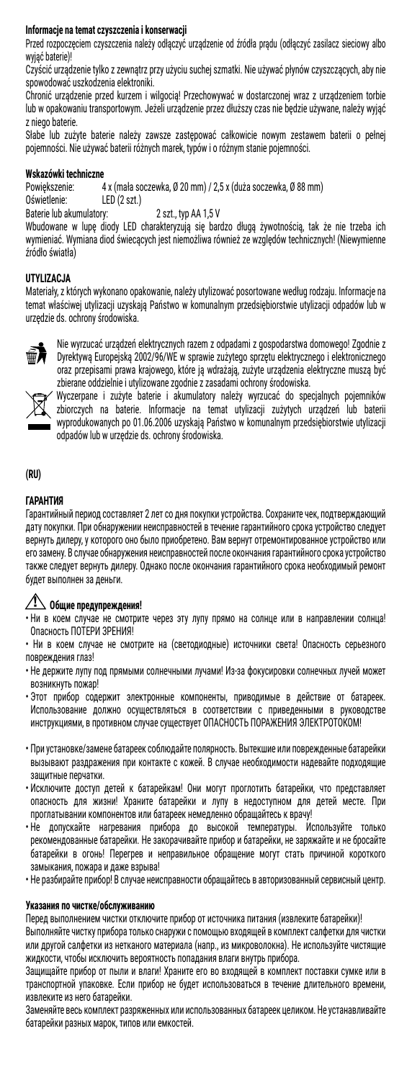### **Informacje na temat czyszczenia i konserwacji**

Przed rozpoczęciem czyszczenia należy odłączyć urządzenie od źródła prądu (odłączyć zasilacz sieciowy albo wyjąć baterie)!

Czyścić urządzenie tylko z zewnątrz przy użyciu suchej szmatki. Nie używać płynów czyszczących, aby nie spowodować uszkodzenia elektroniki.

Chronić urządzenie przed kurzem i wilgocią! Przechowywać w dostarczonej wraz z urządzeniem torbie lub w opakowaniu transportowym. Jeżeli urządzenie przez dłuższy czas nie będzie używane, należy wyjąć z niego baterie.

Słabe lub zużyte baterie należy zawsze zastępować całkowicie nowym zestawem baterii o pełnej pojemności. Nie używać baterii różnych marek, typów i o różnym stanie pojemności.

# **Wskazówki techniczne**

Powiększenie: 4 x (mała soczewka, Ø 20 mm) / 2,5 x (duża soczewka, Ø 88 mm)  $LED(2 szt.)$ 

Baterie lub akumulatory: 2 szt., typ AA 1,5 V

Wbudowane w lupę diody LED charakteryzują się bardzo długą żywotnością, tak że nie trzeba ich wymieniać. Wymiana diod świecących jest niemożliwa również ze względów technicznych! (Niewymienne źródło światła)

## **UTYLIZACJA**

Materiały, z których wykonano opakowanie, należy utylizować posortowane według rodzaju. Informacje na temat właściwej utylizacji uzyskają Państwo w komunalnym przedsiębiorstwie utylizacji odpadów lub w urzędzie ds. ochrony środowiska.



Nie wyrzucać urządzeń elektrycznych razem z odpadami z gospodarstwa domowego! Zgodnie z Dyrektywą Europejską 2002/96/WE w sprawie zużytego sprzętu elektrycznego i elektronicznego oraz przepisami prawa krajowego, które ją wdrażają, zużyte urządzenia elektryczne muszą być zbierane oddzielnie i utylizowane zgodnie z zasadami ochrony środowiska.



Wyczerpane i zużyte baterie i akumulatory należy wyrzucać do specjalnych pojemników zbiorczych na baterie. Informacje na temat utylizacji zużytych urządzeń lub baterii wyprodukowanych po 01.06.2006 uzyskają Państwo w komunalnym przedsiębiorstwie utylizacji odpadów lub w urzędzie ds. ochrony środowiska.

### **(RU)**

## **ГАРАНТИЯ**

Гарантийный период составляет 2 лет со дня покупки устройства. Сохраните чек, подтверждающий дату покупки. При обнаружении неисправностей в течение гарантийного срока устройство следует вернуть дилеру, у которого оно было приобретено. Вам вернут отремонтированное устройство или его замену. В случае обнаружения неисправностей после окончания гарантийного срока устройство также следует вернуть дилеру. Однако после окончания гарантийного срока необходимый ремонт будет выполнен за деньги.

# **Общие предупреждения!**

• Ни в коем случае не смотрите через эту лупу прямо на солнце или в направлении солнца! Опасность ПОТЕРИ ЗРЕНИЯ!

• Ни в коем случае не смотрите на (светодиодные) источники света! Опасность серьезного повреждения глаз!

- Не держите лупу под прямыми солнечными лучами! Из-за фокусировки солнечных лучей может возникнуть пожар!
- Этот прибор содержит электронные компоненты, приводимые в действие от батареек. Использование должно осуществляться в соответствии с приведенными в руководстве инструкциями, в противном случае существует ОПАСНОСТЬ ПОРАЖЕНИЯ ЭЛЕКТРОТОКОМ!
- При установке/замене батареек соблюдайте полярность. Вытекшие или поврежденные батарейки вызывают раздражения при контакте с кожей. В случае необходимости надевайте подходящие защитные перчатки.
- Исключите доступ детей к батарейкам! Они могут проглотить батарейки, что представляет опасность для жизни! Храните батарейки и лупу в недоступном для детей месте. При проглатывании компонентов или батареек немедленно обращайтесь к врачу!
- Не допускайте нагревания прибора до высокой температуры. Используйте только рекомендованные батарейки. Не закорачивайте прибор и батарейки, не заряжайте и не бросайте батарейки в огонь! Перегрев и неправильное обращение могут стать причиной короткого замыкания, пожара и даже взрыва!
- Не разбирайте прибор! В случае неисправности обращайтесь в авторизованный сервисный центр.

### **Указания по чистке/обслуживанию**

Перед выполнением чистки отключите прибор от источника питания (извлеките батарейки)!

Выполняйте чистку прибора только снаружи с помощью входящей в комплект салфетки для чистки или другой салфетки из нетканого материала (напр., из микроволокна). Не используйте чистящие жидкости, чтобы исключить вероятность попадания влаги внутрь прибора.

Защищайте прибор от пыли и влаги! Храните его во входящей в комплект поставки сумке или в транспортной упаковке. Если прибор не будет использоваться в течение длительного времени, извлеките из него батарейки.

Заменяйте весь комплект разряженных или использованных батареек целиком. Не устанавливайте батарейки разных марок, типов или емкостей.